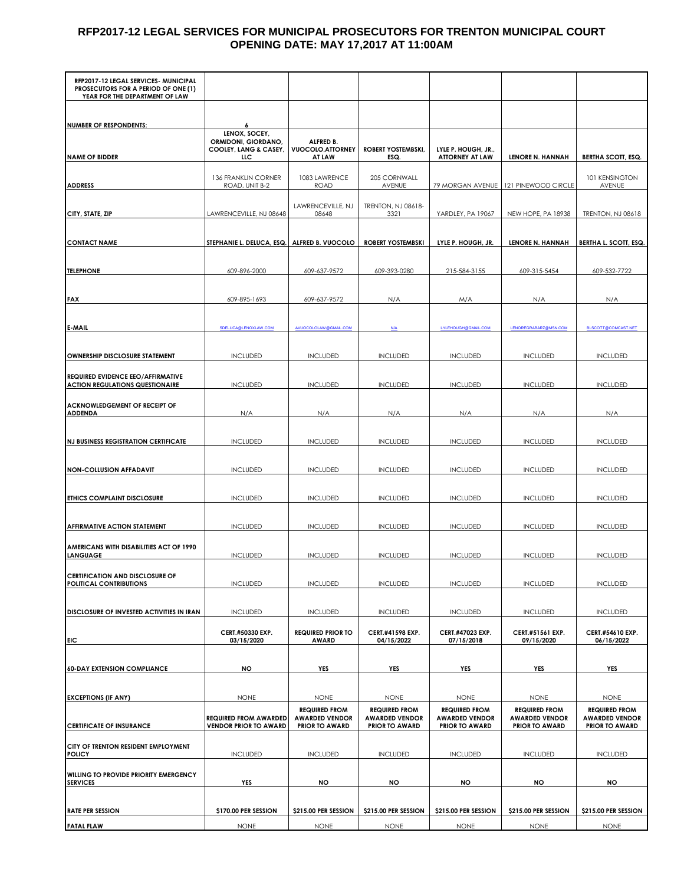## **RFP2017-12 LEGAL SERVICES FOR MUNICIPAL PROSECUTORS FOR TRENTON MUNICIPAL COURT OPENING DATE: MAY 17,2017 AT 11:00AM**

| RFP2017-12 LEGAL SERVICES- MUNICIPAL<br>PROSECUTORS FOR A PERIOD OF ONE (1) |                                                              |                                                                        |                                                                        |                                                                        |                                                                        |                                                                        |
|-----------------------------------------------------------------------------|--------------------------------------------------------------|------------------------------------------------------------------------|------------------------------------------------------------------------|------------------------------------------------------------------------|------------------------------------------------------------------------|------------------------------------------------------------------------|
| YEAR FOR THE DEPARTMENT OF LAW                                              |                                                              |                                                                        |                                                                        |                                                                        |                                                                        |                                                                        |
| <b>NUMBER OF RESPONDENTS:</b>                                               | 6                                                            |                                                                        |                                                                        |                                                                        |                                                                        |                                                                        |
|                                                                             | LENOX, SOCEY,<br>ORMIDONI, GIORDANO,                         | ALFRED B.                                                              |                                                                        |                                                                        |                                                                        |                                                                        |
| <b>NAME OF BIDDER</b>                                                       | COOLEY, LANG & CASEY,<br>uс                                  | <b>VUOCOLO, ATTORNEY</b><br>AT LAW                                     | ROBERT YOSTEMBSKI,<br>ESQ.                                             | LYLE P. HOUGH, JR.,<br><b>ATTORNEY AT LAW</b>                          | LENORE N. HANNAH                                                       | BERTHA SCOTT, ESQ.                                                     |
| <b>ADDRESS</b>                                                              | <b>136 FRANKLIN CORNER</b><br>ROAD, UNIT B-2                 | 1083 LAWRENCE<br>ROAD                                                  | 205 CORNWALL<br>AVENUE                                                 |                                                                        | 79 MORGAN AVENUE   121 PINEWOOD CIRCLE                                 | 101 KENSINGTON<br>AVENUE                                               |
| CITY, STATE, ZIP                                                            | LAWRENCEVILLE, NJ 08648                                      | LAWRENCEVILLE, NJ<br>08648                                             | TRENTON, NJ 08618-<br>3321                                             | YARDLEY, PA 19067                                                      | NEW HOPE, PA 18938                                                     | TRENTON, NJ 08618                                                      |
| <b>CONTACT NAME</b>                                                         | STEPHANIE L. DELUCA, ESQ.                                    | ALFRED B. VUOCOLO                                                      | <b>ROBERT YOSTEMBSKI</b>                                               | LYLE P. HOUGH, JR.                                                     | <b>LENORE N. HANNAH</b>                                                | BERTHA L. SCOTT, ESQ.                                                  |
|                                                                             |                                                              |                                                                        |                                                                        |                                                                        |                                                                        |                                                                        |
| <b>TELEPHONE</b>                                                            | 609-896-2000                                                 | 609-637-9572                                                           | 609-393-0280                                                           | 215-584-3155                                                           | 609-315-5454                                                           | 609-532-7722                                                           |
| <b>FAX</b>                                                                  | 609-895-1693                                                 | 609-637-9572                                                           | N/A                                                                    | M/A                                                                    | N/A                                                                    | N/A                                                                    |
| <b>E-MAIL</b>                                                               | SDELUCA@LENOXLAW.COM                                         | AVUOCOLOLAW@GMAIL.COM                                                  | N/A                                                                    | LYLEHOUGH@GMAIL.COM                                                    | <b>LENOREGRABARZ@MSN.COM</b>                                           | BLSCOTT@COMCAST.NET                                                    |
| <b>OWNERSHIP DISCLOSURE STATEMENT</b>                                       | <b>INCLUDED</b>                                              | <b>INCLUDED</b>                                                        | <b>INCLUDED</b>                                                        | <b>INCLUDED</b>                                                        | <b>INCLUDED</b>                                                        | <b>INCLUDED</b>                                                        |
| REQUIRED EVIDENCE EEO/AFFIRMATIVE<br><b>ACTION REGULATIONS QUESTIONAIRE</b> | <b>INCLUDED</b>                                              | <b>INCLUDED</b>                                                        | <b>INCLUDED</b>                                                        | <b>INCLUDED</b>                                                        | <b>INCLUDED</b>                                                        | <b>INCLUDED</b>                                                        |
| <b>ACKNOWLEDGEMENT OF RECEIPT OF</b><br><b>ADDENDA</b>                      | N/A                                                          | N/A                                                                    | N/A                                                                    | N/A                                                                    | N/A                                                                    | N/A                                                                    |
| <b>NJ BUSINESS REGISTRATION CERTIFICATE</b>                                 | <b>INCLUDED</b>                                              | <b>INCLUDED</b>                                                        | <b>INCLUDED</b>                                                        | <b>INCLUDED</b>                                                        | <b>INCLUDED</b>                                                        | <b>INCLUDED</b>                                                        |
|                                                                             |                                                              |                                                                        |                                                                        |                                                                        |                                                                        |                                                                        |
| <b>NON-COLLUSION AFFADAVIT</b>                                              | <b>INCLUDED</b>                                              | <b>INCLUDED</b>                                                        | <b>INCLUDED</b>                                                        | <b>INCLUDED</b>                                                        | <b>INCLUDED</b>                                                        | <b>INCLUDED</b>                                                        |
| <b>ETHICS COMPLAINT DISCLOSURE</b>                                          | <b>INCLUDED</b>                                              | <b>INCLUDED</b>                                                        | <b>INCLUDED</b>                                                        | <b>INCLUDED</b>                                                        | <b>INCLUDED</b>                                                        | <b>INCLUDED</b>                                                        |
| AFFIRMATIVE ACTION STATEMENT                                                | <b>INCLUDED</b>                                              | <b>INCLUDED</b>                                                        | <b>INCLUDED</b>                                                        | <b>INCLUDED</b>                                                        | <b>INCLUDED</b>                                                        | <b>INCLUDED</b>                                                        |
| AMERICANS WITH DISABILITIES ACT OF 1990<br><b>LANGUAGE</b>                  | <b>INCLUDED</b>                                              | <b>INCLUDED</b>                                                        | <b>INCLUDED</b>                                                        | <b>INCLUDED</b>                                                        | <b>INCLUDED</b>                                                        | <b>INCLUDED</b>                                                        |
|                                                                             |                                                              |                                                                        |                                                                        |                                                                        |                                                                        |                                                                        |
| <b>CERTIFICATION AND DISCLOSURE OF</b><br>POLITICAL CONTRIBUTIONS           | <b>INCLUDED</b>                                              | <b>INCLUDED</b>                                                        | <b>INCLUDED</b>                                                        | <b>INCLUDED</b>                                                        | <b>INCLUDED</b>                                                        | <b>INCLUDED</b>                                                        |
| DISCLOSURE OF INVESTED ACTIVITIES IN IRAN                                   | <b>INCLUDED</b>                                              | <b>INCLUDED</b>                                                        | <b>INCLUDED</b>                                                        | <b>INCLUDED</b>                                                        | <b>INCLUDED</b>                                                        | <b>INCLUDED</b>                                                        |
| EIC                                                                         | CERT.#50330 EXP.<br>03/15/2020                               | <b>REQUIRED PRIOR TO</b><br><b>AWARD</b>                               | CERT.#41598 EXP.<br>04/15/2022                                         | CERT.#47023 EXP.<br>07/15/2018                                         | CERT.#51561 EXP.<br>09/15/2020                                         | CERT.#54610 EXP.<br>06/15/2022                                         |
|                                                                             |                                                              |                                                                        |                                                                        |                                                                        |                                                                        |                                                                        |
| <b>60-DAY EXTENSION COMPLIANCE</b>                                          | NO                                                           | YES                                                                    | YES                                                                    | YES                                                                    | YES                                                                    | YES                                                                    |
| <b>EXCEPTIONS (IF ANY)</b>                                                  | <b>NONE</b>                                                  | <b>NONE</b>                                                            | <b>NONE</b>                                                            | <b>NONE</b>                                                            | <b>NONE</b>                                                            | <b>NONE</b>                                                            |
| <b>CERTIFICATE OF INSURANCE</b>                                             | <b>REQUIRED FROM AWARDED</b><br><b>VENDOR PRIOR TO AWARD</b> | <b>REQUIRED FROM</b><br><b>AWARDED VENDOR</b><br><b>PRIOR TO AWARD</b> | <b>REQUIRED FROM</b><br><b>AWARDED VENDOR</b><br><b>PRIOR TO AWARD</b> | <b>REQUIRED FROM</b><br><b>AWARDED VENDOR</b><br><b>PRIOR TO AWARD</b> | <b>REQUIRED FROM</b><br><b>AWARDED VENDOR</b><br><b>PRIOR TO AWARD</b> | <b>REQUIRED FROM</b><br><b>AWARDED VENDOR</b><br><b>PRIOR TO AWARD</b> |
| CITY OF TRENTON RESIDENT EMPLOYMENT<br><b>POLICY</b>                        | <b>INCLUDED</b>                                              | <b>INCLUDED</b>                                                        | <b>INCLUDED</b>                                                        | <b>INCLUDED</b>                                                        | <b>INCLUDED</b>                                                        | <b>INCLUDED</b>                                                        |
| WILLING TO PROVIDE PRIORITY EMERGENCY<br><b>SERVICES</b>                    | YES                                                          | <b>NO</b>                                                              | <b>NO</b>                                                              | <b>NO</b>                                                              | <b>NO</b>                                                              | NO                                                                     |
|                                                                             |                                                              |                                                                        |                                                                        |                                                                        |                                                                        |                                                                        |
| <b>RATE PER SESSION</b>                                                     | \$170.00 PER SESSION                                         | \$215.00 PER SESSION                                                   | \$215.00 PER SESSION                                                   | \$215.00 PER SESSION                                                   | \$215.00 PER SESSION                                                   | \$215.00 PER SESSION                                                   |
| <b>FATAL FLAW</b>                                                           | <b>NONE</b>                                                  | <b>NONE</b>                                                            | <b>NONE</b>                                                            | <b>NONE</b>                                                            | <b>NONE</b>                                                            | <b>NONE</b>                                                            |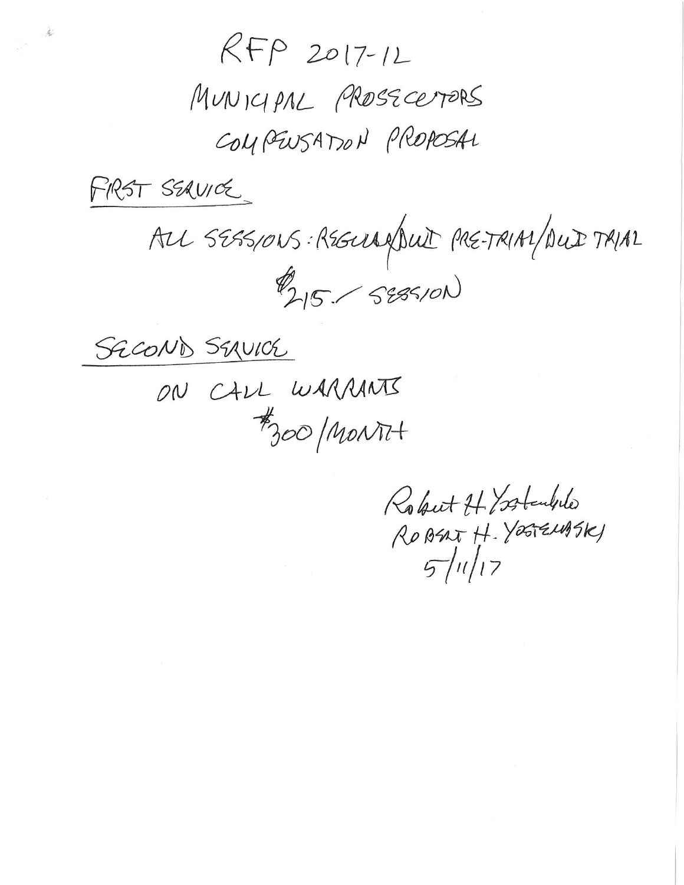$RFP 2017-12$ 

MUNICIPAL PROSECEPTORS COMPENSATION PROPOSAL

FRST SEAVICE

ALL SESSIONS: REGULARION PRETRIAL DUI TRIAL

SECOND SEAVICE

ON CALL WARRANTS #300 MONTH

Robert HY Standale ROBERT H. YOGTENASKI  $5/11/17$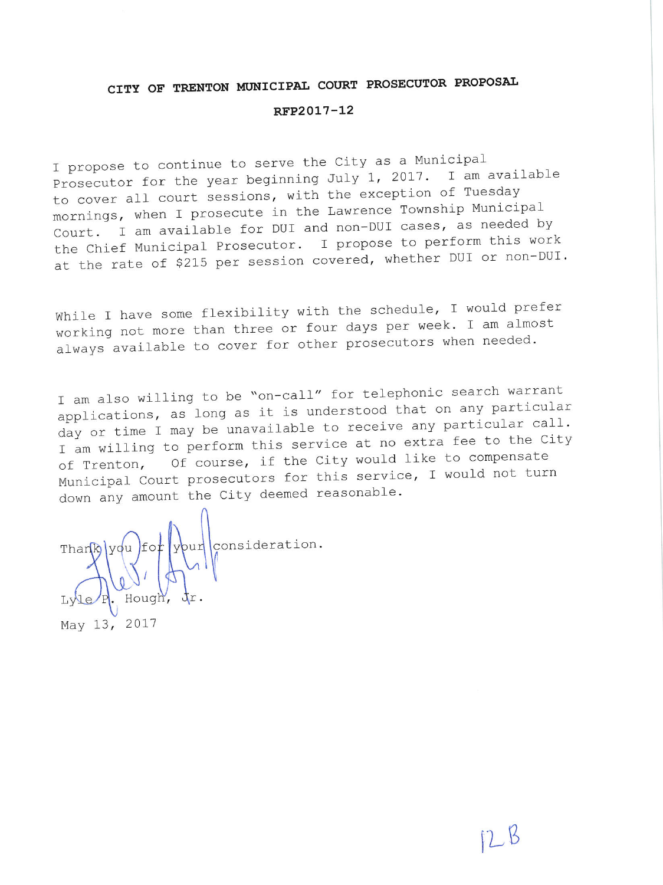## CITY OF TRENTON MUNICIPAL COURT PROSECUTOR PROPOSAL

## RFP2017-12

I propose to continue to serve the City as a Municipal Prosecutor for the year beginning July 1, 2017. I am available to cover all court sessions, with the exception of Tuesday mornings, when I prosecute in the Lawrence Township Municipal Court. I am available for DUI and non-DUI cases, as needed by the Chief Municipal Prosecutor. I propose to perform this work at the rate of \$215 per session covered, whether DUI or non-DUI.

While I have some flexibility with the schedule, I would prefer working not more than three or four days per week. I am almost always available to cover for other prosecutors when needed.

I am also willing to be "on-call" for telephonic search warrant applications, as long as it is understood that on any particular day or time I may be unavailable to receive any particular call. I am willing to perform this service at no extra fee to the City Of course, if the City would like to compensate of Trenton, Municipal Court prosecutors for this service, I would not turn down any amount the City deemed reasonable.

bur consideration.  $f$ oi Hough May 13, 2017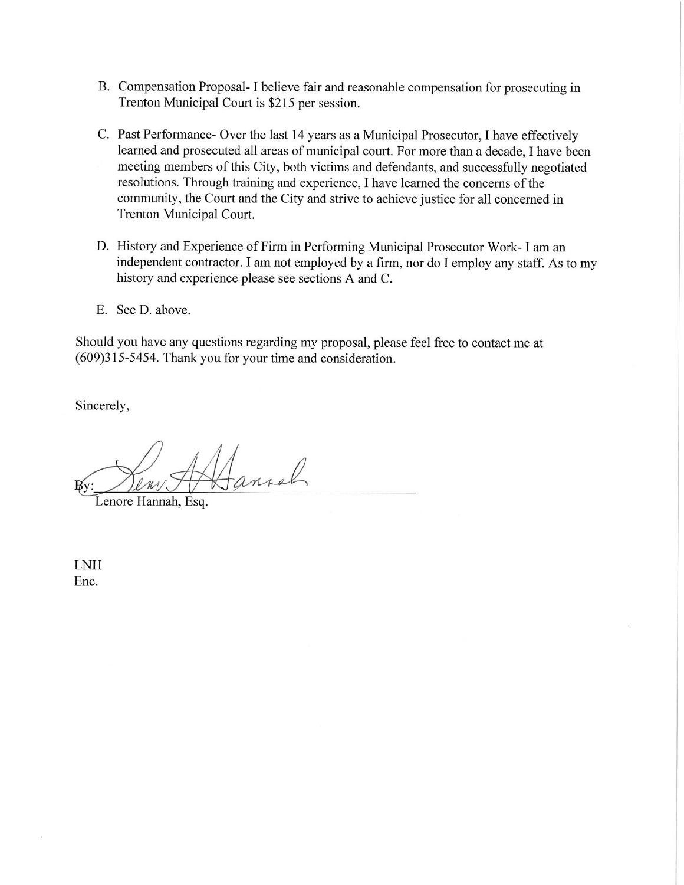- B. Compensation Proposal-I believe fair and reasonable compensation for prosecuting in Trenton Municipal Court is \$215 per session.
- C. Past Performance- Over the last 14 years as a Municipal Prosecutor, I have effectively learned and prosecuted all areas of municipal court. For more than a decade, I have been meeting members of this City, both victims and defendants, and successfully negotiated resolutions. Through training and experience, I have learned the concerns of the community, the Court and the City and strive to achieve justice for all concerned in Trenton Municipal Court.
- D. History and Experience of Firm in Performing Municipal Prosecutor Work- I am an independent contractor. I am not employed by a firm, nor do I employ any staff. As to my history and experience please see sections A and C.
- E. See D. above.

Should you have any questions regarding my proposal, please feel free to contact me at (609)315-5454. Thank you for your time and consideration.

Sincerely,

 $0$ MA  $\mathbb{B}_Y$ 

Lenore Hannah, Esq.

**LNH** Enc.